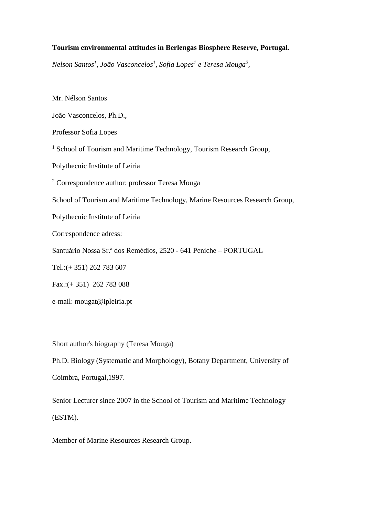# **Tourism environmental attitudes in Berlengas Biosphere Reserve, Portugal.**

*Nelson Santos<sup>1</sup> , João Vasconcelos<sup>1</sup> , Sofia Lopes<sup>1</sup> e Teresa Mouga<sup>2</sup> ,*

Mr. Nélson Santos

João Vasconcelos, Ph.D.,

Professor Sofia Lopes

<sup>1</sup> School of Tourism and Maritime Technology, Tourism Research Group,

Polythecnic Institute of Leiria

<sup>2</sup> Correspondence author: professor Teresa Mouga

School of Tourism and Maritime Technology, Marine Resources Research Group,

Polythecnic Institute of Leiria

Correspondence adress:

Santuário Nossa Sr.ª dos Remédios, 2520 - 641 Peniche – PORTUGAL

Tel.:(+ 351) 262 783 607

Fax.:(+ 351) 262 783 088

e-mail: mougat@ipleiria.pt

Short author's biography (Teresa Mouga)

Ph.D. Biology (Systematic and Morphology), Botany Department, University of Coimbra, Portugal,1997.

Senior Lecturer since 2007 in the School of Tourism and Maritime Technology (ESTM).

Member of Marine Resources Research Group.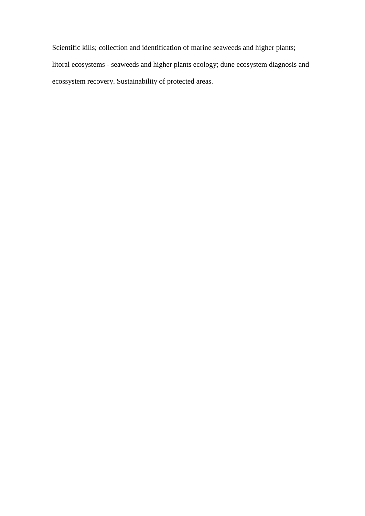Scientific kills; collection and identification of marine seaweeds and higher plants; litoral ecosystems - seaweeds and higher plants ecology; dune ecosystem diagnosis and ecossystem recovery. Sustainability of protected areas.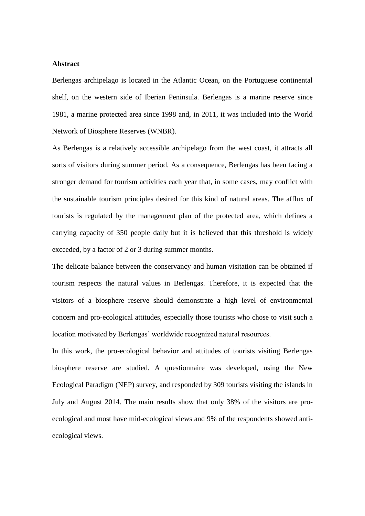### **Abstract**

Berlengas archipelago is located in the Atlantic Ocean, on the Portuguese continental shelf, on the western side of Iberian Peninsula. Berlengas is a marine reserve since 1981, a marine protected area since 1998 and, in 2011, it was included into the World Network of Biosphere Reserves (WNBR).

As Berlengas is a relatively accessible archipelago from the west coast, it attracts all sorts of visitors during summer period. As a consequence, Berlengas has been facing a stronger demand for tourism activities each year that, in some cases, may conflict with the sustainable tourism principles desired for this kind of natural areas. The afflux of tourists is regulated by the management plan of the protected area, which defines a carrying capacity of 350 people daily but it is believed that this threshold is widely exceeded, by a factor of 2 or 3 during summer months.

The delicate balance between the conservancy and human visitation can be obtained if tourism respects the natural values in Berlengas. Therefore, it is expected that the visitors of a biosphere reserve should demonstrate a high level of environmental concern and pro-ecological attitudes, especially those tourists who chose to visit such a location motivated by Berlengas' worldwide recognized natural resources.

In this work, the pro-ecological behavior and attitudes of tourists visiting Berlengas biosphere reserve are studied. A questionnaire was developed, using the New Ecological Paradigm (NEP) survey, and responded by 309 tourists visiting the islands in July and August 2014. The main results show that only 38% of the visitors are proecological and most have mid-ecological views and 9% of the respondents showed antiecological views.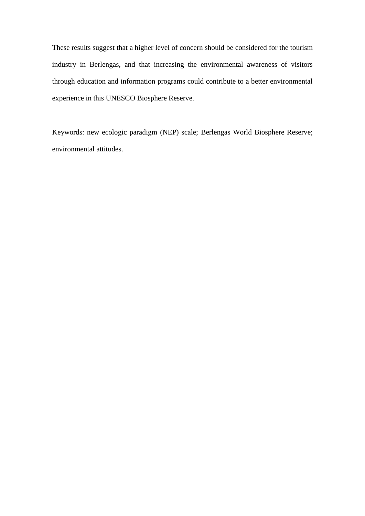These results suggest that a higher level of concern should be considered for the tourism industry in Berlengas, and that increasing the environmental awareness of visitors through education and information programs could contribute to a better environmental experience in this UNESCO Biosphere Reserve.

Keywords: new ecologic paradigm (NEP) scale; Berlengas World Biosphere Reserve; environmental attitudes.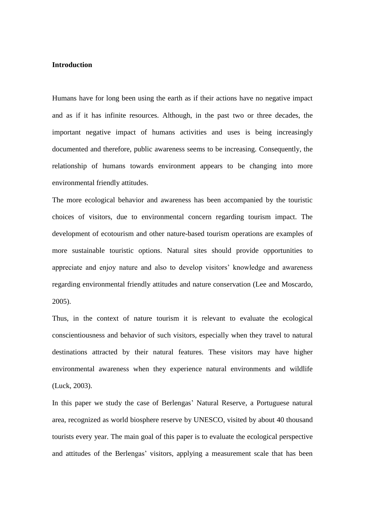## **Introduction**

Humans have for long been using the earth as if their actions have no negative impact and as if it has infinite resources. Although, in the past two or three decades, the important negative impact of humans activities and uses is being increasingly documented and therefore, public awareness seems to be increasing. Consequently, the relationship of humans towards environment appears to be changing into more environmental friendly attitudes.

The more ecological behavior and awareness has been accompanied by the touristic choices of visitors, due to environmental concern regarding tourism impact. The development of ecotourism and other nature-based tourism operations are examples of more sustainable touristic options. Natural sites should provide opportunities to appreciate and enjoy nature and also to develop visitors' knowledge and awareness regarding environmental friendly attitudes and nature conservation (Lee and Moscardo, 2005).

Thus, in the context of nature tourism it is relevant to evaluate the ecological conscientiousness and behavior of such visitors, especially when they travel to natural destinations attracted by their natural features. These visitors may have higher environmental awareness when they experience natural environments and wildlife (Luck, 2003).

In this paper we study the case of Berlengas' Natural Reserve, a Portuguese natural area, recognized as world biosphere reserve by UNESCO, visited by about 40 thousand tourists every year. The main goal of this paper is to evaluate the ecological perspective and attitudes of the Berlengas' visitors, applying a measurement scale that has been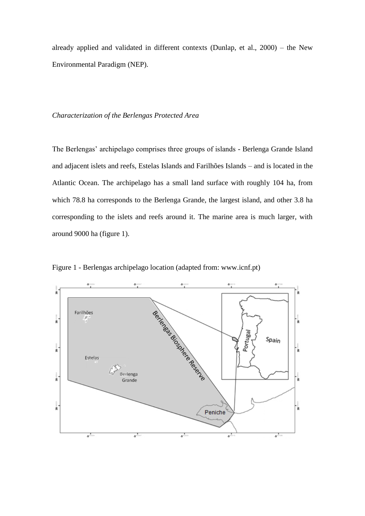already applied and validated in different contexts (Dunlap, et al., 2000) – the New Environmental Paradigm (NEP).

#### *Characterization of the Berlengas Protected Area*

The Berlengas' archipelago comprises three groups of islands - Berlenga Grande Island and adjacent islets and reefs, Estelas Islands and Farilhões Islands – and is located in the Atlantic Ocean. The archipelago has a small land surface with roughly 104 ha, from which 78.8 ha corresponds to the Berlenga Grande, the largest island, and other 3.8 ha corresponding to the islets and reefs around it. The marine area is much larger, with around 9000 ha (figure 1).



Figure 1 - Berlengas archipelago location (adapted from: www.icnf.pt)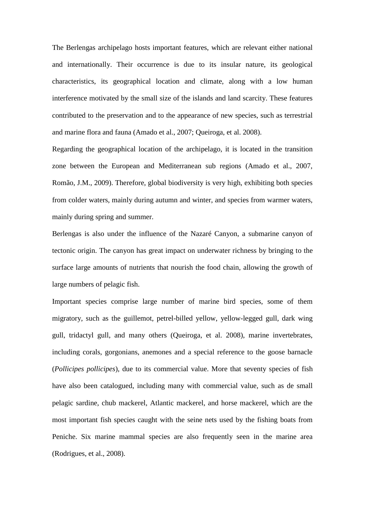The Berlengas archipelago hosts important features, which are relevant either national and internationally. Their occurrence is due to its insular nature, its geological characteristics, its geographical location and climate, along with a low human interference motivated by the small size of the islands and land scarcity. These features contributed to the preservation and to the appearance of new species, such as terrestrial and marine flora and fauna (Amado et al., 2007; Queiroga, et al. 2008).

Regarding the geographical location of the archipelago, it is located in the transition zone between the European and Mediterranean sub regions (Amado et al., 2007, Romão, J.M., 2009). Therefore, global biodiversity is very high, exhibiting both species from colder waters, mainly during autumn and winter, and species from warmer waters, mainly during spring and summer.

Berlengas is also under the influence of the Nazaré Canyon, a submarine canyon of tectonic origin. The canyon has great impact on underwater richness by bringing to the surface large amounts of nutrients that nourish the food chain, allowing the growth of large numbers of pelagic fish.

Important species comprise large number of marine bird species, some of them migratory, such as the guillemot, petrel-billed yellow, yellow-legged gull, dark wing gull, tridactyl gull, and many others (Queiroga, et al. 2008), marine invertebrates, including corals, gorgonians, anemones and a special reference to the goose barnacle (*Pollicipes pollicipes*), due to its commercial value. More that seventy species of fish have also been catalogued, including many with commercial value, such as de small pelagic sardine, chub mackerel, Atlantic mackerel, and horse mackerel, which are the most important fish species caught with the seine nets used by the fishing boats from Peniche. Six marine mammal species are also frequently seen in the marine area (Rodrigues, et al., 2008).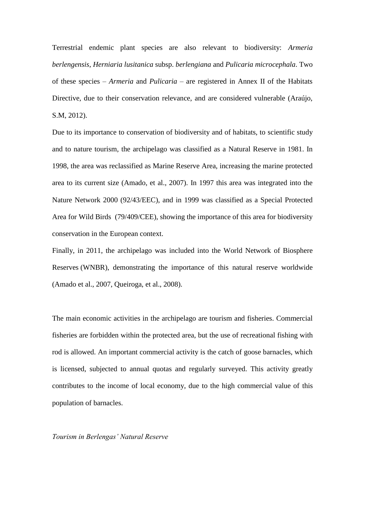Terrestrial endemic plant species are also relevant to biodiversity: *Armeria berlengensis*, *Herniaria lusitanica* subsp. *berlengiana* and *Pulicaria microcephala*. Two of these species – *Armeria* and *Pulicaria* – are registered in Annex II of the Habitats Directive, due to their conservation relevance, and are considered vulnerable (Araújo, S.M, 2012).

Due to its importance to conservation of biodiversity and of habitats, to scientific study and to nature tourism, the archipelago was classified as a Natural Reserve in 1981. In 1998, the area was reclassified as Marine Reserve Area, increasing the marine protected area to its current size (Amado, et al., 2007). In 1997 this area was integrated into the Nature Network 2000 (92/43/EEC), and in 1999 was classified as a Special Protected Area for Wild Birds (79/409/CEE), showing the importance of this area for biodiversity conservation in the European context.

Finally, in 2011, the archipelago was included into the World Network of Biosphere Reserves (WNBR), demonstrating the importance of this natural reserve worldwide (Amado et al., 2007, Queiroga, et al., 2008).

The main economic activities in the archipelago are tourism and fisheries. Commercial fisheries are forbidden within the protected area, but the use of recreational fishing with rod is allowed. An important commercial activity is the catch of goose barnacles, which is licensed, subjected to annual quotas and regularly surveyed. This activity greatly contributes to the income of local economy, due to the high commercial value of this population of barnacles.

*Tourism in Berlengas' Natural Reserve*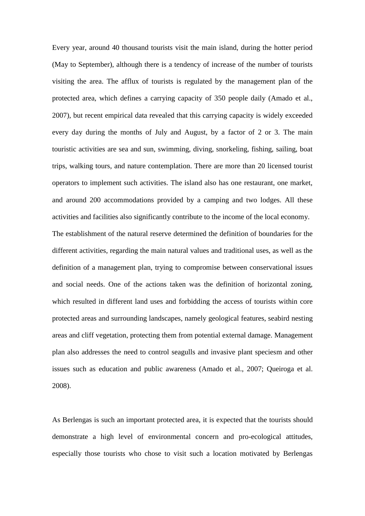Every year, around 40 thousand tourists visit the main island, during the hotter period (May to September), although there is a tendency of increase of the number of tourists visiting the area. The afflux of tourists is regulated by the management plan of the protected area, which defines a carrying capacity of 350 people daily (Amado et al., 2007), but recent empirical data revealed that this carrying capacity is widely exceeded every day during the months of July and August, by a factor of 2 or 3. The main touristic activities are sea and sun, swimming, diving, snorkeling, fishing, sailing, boat trips, walking tours, and nature contemplation. There are more than 20 licensed tourist operators to implement such activities. The island also has one restaurant, one market, and around 200 accommodations provided by a camping and two lodges. All these activities and facilities also significantly contribute to the income of the local economy.

The establishment of the natural reserve determined the definition of boundaries for the different activities, regarding the main natural values and traditional uses, as well as the definition of a management plan, trying to compromise between conservational issues and social needs. One of the actions taken was the definition of horizontal zoning, which resulted in different land uses and forbidding the access of tourists within core protected areas and surrounding landscapes, namely geological features, seabird nesting areas and cliff vegetation, protecting them from potential external damage. Management plan also addresses the need to control seagulls and invasive plant speciesm and other issues such as education and public awareness (Amado et al., 2007; Queiroga et al. 2008).

As Berlengas is such an important protected area, it is expected that the tourists should demonstrate a high level of environmental concern and pro-ecological attitudes, especially those tourists who chose to visit such a location motivated by Berlengas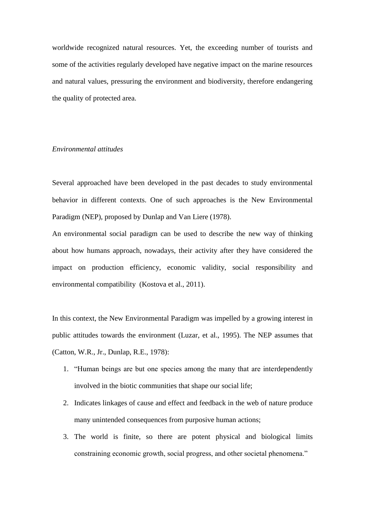worldwide recognized natural resources. Yet, the exceeding number of tourists and some of the activities regularly developed have negative impact on the marine resources and natural values, pressuring the environment and biodiversity, therefore endangering the quality of protected area.

### *Environmental attitudes*

Several approached have been developed in the past decades to study environmental behavior in different contexts. One of such approaches is the New Environmental Paradigm (NEP), proposed by Dunlap and Van Liere (1978).

An environmental social paradigm can be used to describe the new way of thinking about how humans approach, nowadays, their activity after they have considered the impact on production efficiency, economic validity, social responsibility and environmental compatibility (Kostova et al., 2011).

In this context, the New Environmental Paradigm was impelled by a growing interest in public attitudes towards the environment (Luzar, et al., 1995). The NEP assumes that (Catton, W.R., Jr., Dunlap, R.E., 1978):

- 1. "Human beings are but one species among the many that are interdependently involved in the biotic communities that shape our social life;
- 2. Indicates linkages of cause and effect and feedback in the web of nature produce many unintended consequences from purposive human actions;
- 3. The world is finite, so there are potent physical and biological limits constraining economic growth, social progress, and other societal phenomena."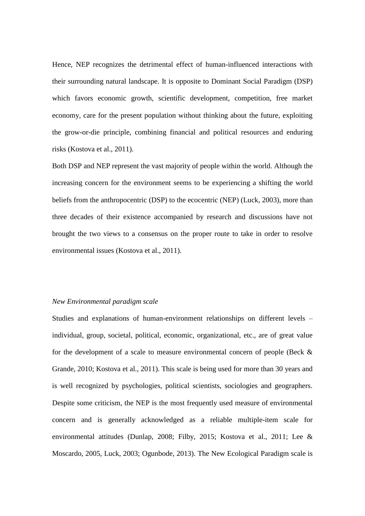Hence, NEP recognizes the detrimental effect of human-influenced interactions with their surrounding natural landscape. It is opposite to Dominant Social Paradigm (DSP) which favors economic growth, scientific development, competition, free market economy, care for the present population without thinking about the future, exploiting the grow-or-die principle, combining financial and political resources and enduring risks (Kostova et al., 2011).

Both DSP and NEP represent the vast majority of people within the world. Although the increasing concern for the environment seems to be experiencing a shifting the world beliefs from the anthropocentric (DSP) to the ecocentric (NEP) (Luck, 2003), more than three decades of their existence accompanied by research and discussions have not brought the two views to a consensus on the proper route to take in order to resolve environmental issues (Kostova et al., 2011).

### *New Environmental paradigm scale*

Studies and explanations of human-environment relationships on different levels – individual, group, societal, political, economic, organizational, etc., are of great value for the development of a scale to measure environmental concern of people (Beck & Grande, 2010; Kostova et al., 2011). This scale is being used for more than 30 years and is well recognized by psychologies, political scientists, sociologies and geographers. Despite some criticism, the NEP is the most frequently used measure of environmental concern and is generally acknowledged as a reliable multiple-item scale for environmental attitudes (Dunlap, 2008; Filby, 2015; Kostova et al., 2011; Lee & Moscardo, 2005, Luck, 2003; Ogunbode, 2013). The New Ecological Paradigm scale is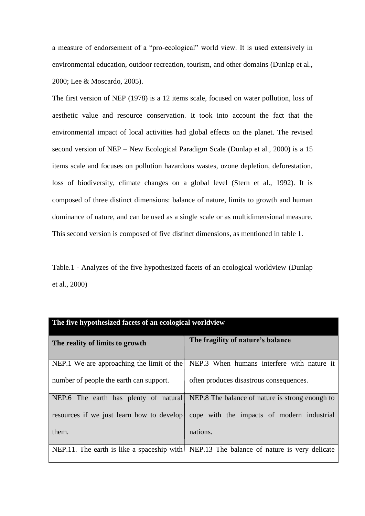a measure of endorsement of a "pro-ecological" world view. It is used extensively in environmental education, outdoor recreation, tourism, and other domains (Dunlap et al., 2000; Lee & Moscardo, 2005).

The first version of NEP (1978) is a 12 items scale, focused on water pollution, loss of aesthetic value and resource conservation. It took into account the fact that the environmental impact of local activities had global effects on the planet. The revised second version of NEP – New Ecological Paradigm Scale (Dunlap et al., 2000) is a 15 items scale and focuses on pollution hazardous wastes, ozone depletion, deforestation, loss of biodiversity, climate changes on a global level (Stern et al., 1992). It is composed of three distinct dimensions: balance of nature, limits to growth and human dominance of nature, and can be used as a single scale or as multidimensional measure. This second version is composed of five distinct dimensions, as mentioned in table 1.

Table.1 - Analyzes of the five hypothesized facets of an ecological worldview (Dunlap et al., 2000)

| The five hypothesized facets of an ecological worldview |                                                                                          |  |  |  |  |  |  |  |
|---------------------------------------------------------|------------------------------------------------------------------------------------------|--|--|--|--|--|--|--|
| The reality of limits to growth                         | The fragility of nature's balance                                                        |  |  |  |  |  |  |  |
| NEP.1 We are approaching the limit of the               | NEP.3 When humans interfere with nature it                                               |  |  |  |  |  |  |  |
| number of people the earth can support.                 | often produces disastrous consequences.                                                  |  |  |  |  |  |  |  |
|                                                         | NEP.6 The earth has plenty of natural NEP.8 The balance of nature is strong enough to    |  |  |  |  |  |  |  |
|                                                         | resources if we just learn how to develop cope with the impacts of modern industrial     |  |  |  |  |  |  |  |
| them.                                                   | nations.                                                                                 |  |  |  |  |  |  |  |
|                                                         | NEP.11. The earth is like a spaceship with NEP.13 The balance of nature is very delicate |  |  |  |  |  |  |  |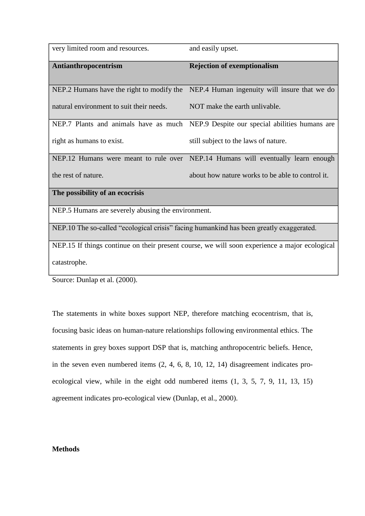| very limited room and resources.                                                        | and easily upset.                                                                             |
|-----------------------------------------------------------------------------------------|-----------------------------------------------------------------------------------------------|
| Antianthropocentrism                                                                    | <b>Rejection of exemptionalism</b>                                                            |
| NEP.2 Humans have the right to modify the                                               | NEP.4 Human ingenuity will insure that we do                                                  |
| natural environment to suit their needs.                                                | NOT make the earth unlivable.                                                                 |
|                                                                                         | NEP.7 Plants and animals have as much NEP.9 Despite our special abilities humans are          |
| right as humans to exist.                                                               | still subject to the laws of nature.                                                          |
|                                                                                         | NEP.12 Humans were meant to rule over NEP.14 Humans will eventually learn enough              |
| the rest of nature.                                                                     | about how nature works to be able to control it.                                              |
| The possibility of an ecocrisis                                                         |                                                                                               |
| NEP.5 Humans are severely abusing the environment.                                      |                                                                                               |
| NEP.10 The so-called "ecological crisis" facing humankind has been greatly exaggerated. |                                                                                               |
|                                                                                         | NEP.15 If things continue on their present course, we will soon experience a major ecological |
| catastrophe.                                                                            |                                                                                               |

Source: Dunlap et al. (2000).

The statements in white boxes support NEP, therefore matching ecocentrism, that is, focusing basic ideas on human-nature relationships following environmental ethics. The statements in grey boxes support DSP that is, matching anthropocentric beliefs. Hence, in the seven even numbered items (2, 4, 6, 8, 10, 12, 14) disagreement indicates proecological view, while in the eight odd numbered items (1, 3, 5, 7, 9, 11, 13, 15) agreement indicates pro-ecological view (Dunlap, et al., 2000).

# **Methods**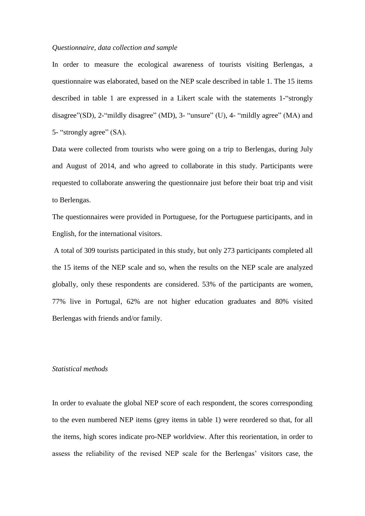#### *Questionnaire, data collection and sample*

In order to measure the ecological awareness of tourists visiting Berlengas, a questionnaire was elaborated, based on the NEP scale described in table 1. The 15 items described in table 1 are expressed in a Likert scale with the statements 1-"strongly disagree"(SD), 2-"mildly disagree" (MD), 3- "unsure" (U), 4- "mildly agree" (MA) and 5- "strongly agree" (SA).

Data were collected from tourists who were going on a trip to Berlengas, during July and August of 2014, and who agreed to collaborate in this study. Participants were requested to collaborate answering the questionnaire just before their boat trip and visit to Berlengas.

The questionnaires were provided in Portuguese, for the Portuguese participants, and in English, for the international visitors.

A total of 309 tourists participated in this study, but only 273 participants completed all the 15 items of the NEP scale and so, when the results on the NEP scale are analyzed globally, only these respondents are considered. 53% of the participants are women, 77% live in Portugal, 62% are not higher education graduates and 80% visited Berlengas with friends and/or family.

### *Statistical methods*

In order to evaluate the global NEP score of each respondent, the scores corresponding to the even numbered NEP items (grey items in table 1) were reordered so that, for all the items, high scores indicate pro-NEP worldview. After this reorientation, in order to assess the reliability of the revised NEP scale for the Berlengas' visitors case, the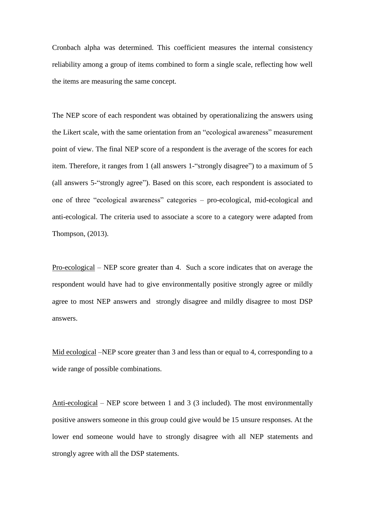Cronbach alpha was determined. This coefficient measures the internal consistency reliability among a group of items combined to form a single scale, reflecting how well the items are measuring the same concept.

The NEP score of each respondent was obtained by operationalizing the answers using the Likert scale, with the same orientation from an "ecological awareness" measurement point of view. The final NEP score of a respondent is the average of the scores for each item. Therefore, it ranges from 1 (all answers 1-"strongly disagree") to a maximum of 5 (all answers 5-"strongly agree"). Based on this score, each respondent is associated to one of three "ecological awareness" categories – pro-ecological, mid-ecological and anti-ecological. The criteria used to associate a score to a category were adapted from Thompson, (2013).

Pro-ecological – NEP score greater than 4. Such a score indicates that on average the respondent would have had to give environmentally positive strongly agree or mildly agree to most NEP answers and strongly disagree and mildly disagree to most DSP answers.

Mid ecological –NEP score greater than 3 and less than or equal to 4, corresponding to a wide range of possible combinations.

Anti-ecological – NEP score between 1 and 3 (3 included). The most environmentally positive answers someone in this group could give would be 15 unsure responses. At the lower end someone would have to strongly disagree with all NEP statements and strongly agree with all the DSP statements.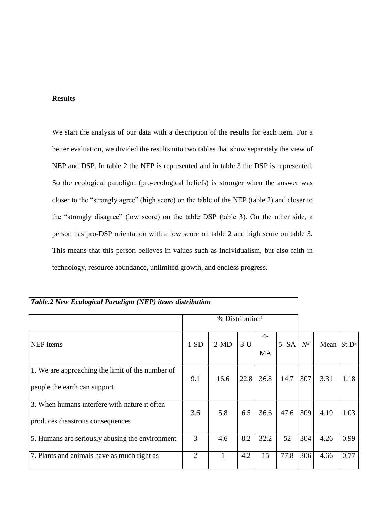# **Results**

We start the analysis of our data with a description of the results for each item. For a better evaluation, we divided the results into two tables that show separately the view of NEP and DSP. In table 2 the NEP is represented and in table 3 the DSP is represented. So the ecological paradigm (pro-ecological beliefs) is stronger when the answer was closer to the "strongly agree" (high score) on the table of the NEP (table 2) and closer to the "strongly disagree" (low score) on the table DSP (table 3). On the other side, a person has pro-DSP orientation with a low score on table 2 and high score on table 3. This means that this person believes in values such as individualism, but also faith in technology, resource abundance, unlimited growth, and endless progress.

|                                                                                   | % Distribution <sup>1</sup> |        |       |                   |          |       |                        |      |
|-----------------------------------------------------------------------------------|-----------------------------|--------|-------|-------------------|----------|-------|------------------------|------|
| NEP items                                                                         | $1-SD$                      | $2-MD$ | $3-U$ | $4-$<br><b>MA</b> | $5 - SA$ | $N^2$ | Mean St.D <sup>3</sup> |      |
| 1. We are approaching the limit of the number of<br>people the earth can support  | 9.1                         | 16.6   | 22.8  | 36.8              | 14.7     | 307   | 3.31                   | 1.18 |
| 3. When humans interfere with nature it often<br>produces disastrous consequences | 3.6                         | 5.8    | 6.5   | 36.6              | 47.6     | 309   | 4.19                   | 1.03 |
| 5. Humans are seriously abusing the environment                                   | 3                           | 4.6    | 8.2   | 32.2              | 52       | 304   | 4.26                   | 0.99 |
| 7. Plants and animals have as much right as                                       | 2                           |        | 4.2   | 15                | 77.8     | 306   | 4.66                   | 0.77 |

*Table.2 New Ecological Paradigm (NEP) items distribution*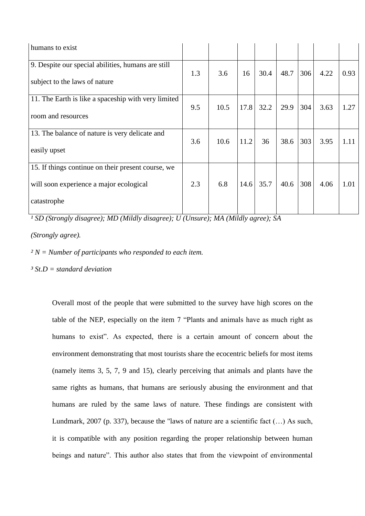| humans to exist                                     |     |      |      |      |      |     |      |      |
|-----------------------------------------------------|-----|------|------|------|------|-----|------|------|
| 9. Despite our special abilities, humans are still  | 1.3 | 3.6  | 16   | 30.4 | 48.7 | 306 | 4.22 | 0.93 |
| subject to the laws of nature                       |     |      |      |      |      |     |      |      |
| 11. The Earth is like a spaceship with very limited | 9.5 | 10.5 | 17.8 | 32.2 | 29.9 | 304 | 3.63 | 1.27 |
| room and resources                                  |     |      |      |      |      |     |      |      |
| 13. The balance of nature is very delicate and      | 3.6 | 10.6 | 11.2 | 36   | 38.6 | 303 | 3.95 | 1.11 |
| easily upset                                        |     |      |      |      |      |     |      |      |
| 15. If things continue on their present course, we  |     |      |      |      |      |     |      |      |
| will soon experience a major ecological             | 2.3 | 6.8  | 14.6 | 35.7 | 40.6 | 308 | 4.06 | 1.01 |
| catastrophe                                         |     |      |      |      |      |     |      |      |

*¹ SD (Strongly disagree); MD (Mildly disagree); U (Unsure); MA (Mildly agree); SA* 

*(Strongly agree).*

*² N = Number of participants who responded to each item.*

*³ St.D = standard deviation*

Overall most of the people that were submitted to the survey have high scores on the table of the NEP, especially on the item 7 "Plants and animals have as much right as humans to exist". As expected, there is a certain amount of concern about the environment demonstrating that most tourists share the ecocentric beliefs for most items (namely items 3, 5, 7, 9 and 15), clearly perceiving that animals and plants have the same rights as humans, that humans are seriously abusing the environment and that humans are ruled by the same laws of nature. These findings are consistent with Lundmark, 2007 (p. 337), because the "laws of nature are a scientific fact  $(...)$  As such, it is compatible with any position regarding the proper relationship between human beings and nature". This author also states that from the viewpoint of environmental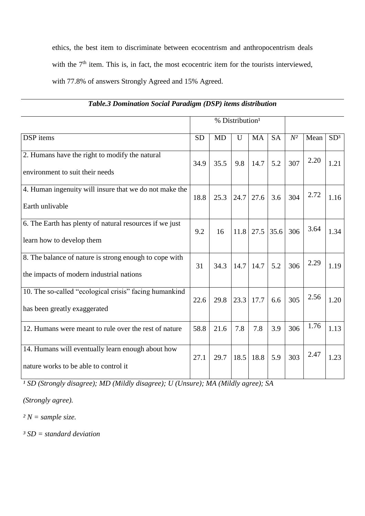ethics, the best item to discriminate between ecocentrism and anthropocentrism deals with the  $7<sup>th</sup>$  item. This is, in fact, the most ecocentric item for the tourists interviewed, with 77.8% of answers Strongly Agreed and 15% Agreed.

|                                                                                                    |           |           | % Distribution <sup>1</sup> |             |           |       |      |                 |
|----------------------------------------------------------------------------------------------------|-----------|-----------|-----------------------------|-------------|-----------|-------|------|-----------------|
| DSP items                                                                                          | <b>SD</b> | <b>MD</b> | U                           | <b>MA</b>   | <b>SA</b> | $N^2$ | Mean | SD <sup>3</sup> |
| 2. Humans have the right to modify the natural<br>environment to suit their needs                  | 34.9      | 35.5      | 9.8                         | 14.7        | 5.2       | 307   | 2.20 | 1.21            |
| 4. Human ingenuity will insure that we do not make the<br>Earth unlivable                          | 18.8      | 25.3      | 24.7                        | 27.6        | 3.6       | 304   | 2.72 | 1.16            |
| 6. The Earth has plenty of natural resources if we just<br>learn how to develop them               | 9.2       | 16        | 11.8                        | $27.5$ 35.6 |           | 306   | 3.64 | 1.34            |
| 8. The balance of nature is strong enough to cope with<br>the impacts of modern industrial nations | 31        | 34.3      | 14.7                        | 14.7        | 5.2       | 306   | 2.29 | 1.19            |
| 10. The so-called "ecological crisis" facing humankind<br>has been greatly exaggerated             | 22.6      | 29.8      | 23.3                        | 17.7        | 6.6       | 305   | 2.56 | 1.20            |
| 12. Humans were meant to rule over the rest of nature                                              | 58.8      | 21.6      | 7.8                         | 7.8         | 3.9       | 306   | 1.76 | 1.13            |
| 14. Humans will eventually learn enough about how<br>nature works to be able to control it         | 27.1      | 29.7      | 18.5                        | 18.8        | 5.9       | 303   | 2.47 | 1.23            |

# *Table.3 Domination Social Paradigm (DSP) items distribution*

<sup>1</sup> SD (Strongly disagree); MD (Mildly disagree); U (Unsure); MA (Mildly agree); SA

*(Strongly agree).*

*² N = sample size.*

*³ SD = standard deviation*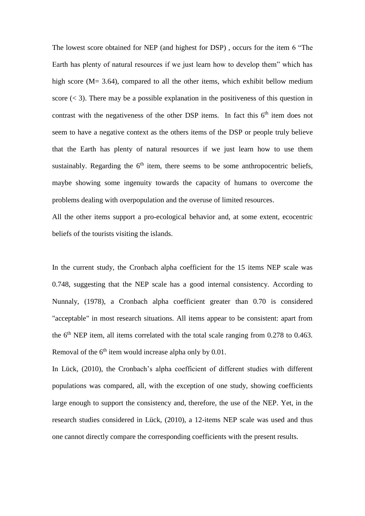The lowest score obtained for NEP (and highest for DSP) , occurs for the item 6 "The Earth has plenty of natural resources if we just learn how to develop them" which has high score (M= 3.64), compared to all the other items, which exhibit bellow medium score  $(< 3)$ . There may be a possible explanation in the positiveness of this question in contrast with the negativeness of the other DSP items. In fact this  $6<sup>th</sup>$  item does not seem to have a negative context as the others items of the DSP or people truly believe that the Earth has plenty of natural resources if we just learn how to use them sustainably. Regarding the  $6<sup>th</sup>$  item, there seems to be some anthropocentric beliefs, maybe showing some ingenuity towards the capacity of humans to overcome the problems dealing with overpopulation and the overuse of limited resources.

All the other items support a pro-ecological behavior and, at some extent, ecocentric beliefs of the tourists visiting the islands.

In the current study, the Cronbach alpha coefficient for the 15 items NEP scale was 0.748, suggesting that the NEP scale has a good internal consistency. According to Nunnaly, (1978), a Cronbach alpha coefficient greater than 0.70 is considered "acceptable" in most research situations. All items appear to be consistent: apart from the  $6<sup>th</sup>$  NEP item, all items correlated with the total scale ranging from 0.278 to 0.463. Removal of the  $6<sup>th</sup>$  item would increase alpha only by 0.01.

In Lück, (2010), the Cronbach's alpha coefficient of different studies with different populations was compared, all, with the exception of one study, showing coefficients large enough to support the consistency and, therefore, the use of the NEP. Yet, in the research studies considered in Lück, (2010), a 12-items NEP scale was used and thus one cannot directly compare the corresponding coefficients with the present results.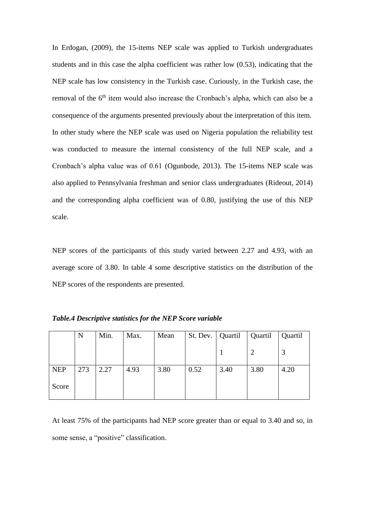In Erdogan, (2009), the 15-items NEP scale was applied to Turkish undergraduates students and in this case the alpha coefficient was rather low (0.53), indicating that the NEP scale has low consistency in the Turkish case. Curiously, in the Turkish case, the removal of the 6<sup>th</sup> item would also increase the Cronbach's alpha, which can also be a consequence of the arguments presented previously about the interpretation of this item. In other study where the NEP scale was used on Nigeria population the reliability test was conducted to measure the internal consistency of the full NEP scale, and a Cronbach's alpha value was of 0.61 (Ogunbode, 2013). The 15-items NEP scale was also applied to Pennsylvania freshman and senior class undergraduates (Rideout, 2014) and the corresponding alpha coefficient was of 0.80, justifying the use of this NEP scale.

NEP scores of the participants of this study varied between 2.27 and 4.93, with an average score of 3.80. In table 4 some descriptive statistics on the distribution of the NEP scores of the respondents are presented.

|            | N   | Min. | Max. | Mean | St. Dev.   Quartil |      | Quartil | Quartil |
|------------|-----|------|------|------|--------------------|------|---------|---------|
|            |     |      |      |      |                    |      |         |         |
| <b>NEP</b> | 273 | 2.27 | 4.93 | 3.80 | 0.52               | 3.40 | 3.80    | 4.20    |
| Score      |     |      |      |      |                    |      |         |         |

*Table.4 Descriptive statistics for the NEP Score variable*

At least 75% of the participants had NEP score greater than or equal to 3.40 and so, in some sense, a "positive" classification.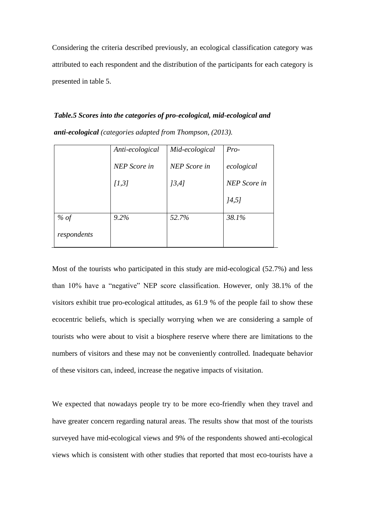Considering the criteria described previously, an ecological classification category was attributed to each respondent and the distribution of the participants for each category is presented in table 5.

*Table.5 Scores into the categories of pro-ecological, mid-ecological and anti-ecological (categories adapted from Thompson, (2013).*

|             | Anti-ecological     | Mid-ecological | $Pro-$              |
|-------------|---------------------|----------------|---------------------|
|             | <b>NEP</b> Score in | NEP Score in   | ecological          |
|             | [1,3]               | 13,41          | <b>NEP</b> Score in |
|             |                     |                | [4,5]               |
| % of        | 9.2%                | 52.7%          | 38.1%               |
| respondents |                     |                |                     |

Most of the tourists who participated in this study are mid-ecological (52.7%) and less than 10% have a "negative" NEP score classification. However, only 38.1% of the visitors exhibit true pro-ecological attitudes, as 61.9 % of the people fail to show these ecocentric beliefs, which is specially worrying when we are considering a sample of tourists who were about to visit a biosphere reserve where there are limitations to the numbers of visitors and these may not be conveniently controlled. Inadequate behavior of these visitors can, indeed, increase the negative impacts of visitation.

We expected that nowadays people try to be more eco-friendly when they travel and have greater concern regarding natural areas. The results show that most of the tourists surveyed have mid-ecological views and 9% of the respondents showed anti-ecological views which is consistent with other studies that reported that most eco-tourists have a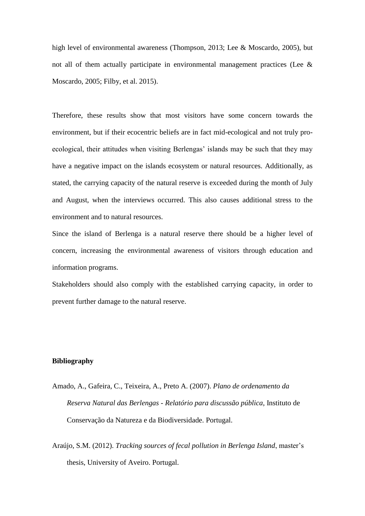high level of environmental awareness (Thompson, 2013; Lee & Moscardo, 2005), but not all of them actually participate in environmental management practices (Lee & Moscardo, 2005; Filby, et al. 2015).

Therefore, these results show that most visitors have some concern towards the environment, but if their ecocentric beliefs are in fact mid-ecological and not truly proecological, their attitudes when visiting Berlengas' islands may be such that they may have a negative impact on the islands ecosystem or natural resources. Additionally, as stated, the carrying capacity of the natural reserve is exceeded during the month of July and August, when the interviews occurred. This also causes additional stress to the environment and to natural resources.

Since the island of Berlenga is a natural reserve there should be a higher level of concern, increasing the environmental awareness of visitors through education and information programs.

Stakeholders should also comply with the established carrying capacity, in order to prevent further damage to the natural reserve.

### **Bibliography**

- Amado, A., Gafeira, C., Teixeira, A., Preto A. (2007). *Plano de ordenamento da Reserva Natural das Berlengas - Relatório para discussão pública*, Instituto de Conservação da Natureza e da Biodiversidade. Portugal.
- Araújo, S.M. (2012). *Tracking sources of fecal pollution in Berlenga Island*, master's thesis, University of Aveiro. Portugal.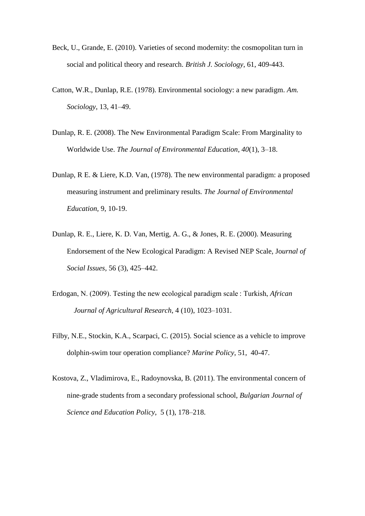- Beck, U., Grande, E. (2010). Varieties of second modernity: the cosmopolitan turn in social and political theory and research. *British J. Sociology*, 61, 409-443.
- Catton, W.R., Dunlap, R.E. (1978). Environmental sociology: a new paradigm. *Am. Sociology*, 13, 41–49.
- Dunlap, R. E. (2008). The New Environmental Paradigm Scale: From Marginality to Worldwide Use. *The Journal of Environmental Education*, *40*(1), 3–18.
- Dunlap, R E. & Liere, K.D. Van, (1978). The new environmental paradigm: a proposed measuring instrument and preliminary results*. The Journal of Environmental Education,* 9, 10-19.
- Dunlap, R. E., Liere, K. D. Van, Mertig, A. G., & Jones, R. E. (2000). Measuring Endorsement of the New Ecological Paradigm: A Revised NEP Scale, Jo*urnal of Social Issues,* 56 (3), 425–442.
- Erdogan, N. (2009). Testing the new ecological paradigm scale : Turkish, *African Journal of Agricultural Research*, 4 (10), 1023–1031.
- Filby, N.E., Stockin, K.A., Scarpaci, C. (2015). Social science as a vehicle to improve dolphin-swim tour operation compliance? *Marine Policy*, 51, 40-47.
- Kostova, Z., Vladimirova, E., Radoynovska, B. (2011). The environmental concern of nine-grade students from a secondary professional school, *Bulgarian Journal of Science and Education Policy*, 5 (1), 178–218.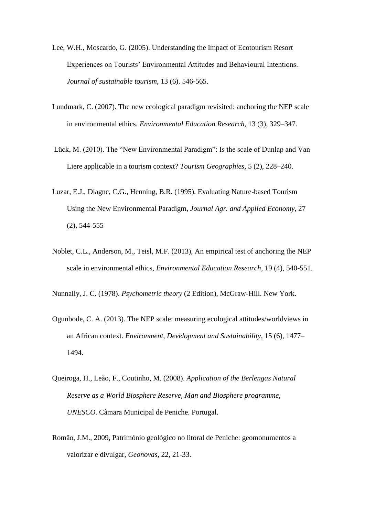- Lee, W.H., Moscardo, G. (2005). Understanding the Impact of Ecotourism Resort Experiences on Tourists' Environmental Attitudes and Behavioural Intentions. *Journal of sustainable tourism*, 13 (6). 546-565.
- Lundmark, C. (2007). The new ecological paradigm revisited: anchoring the NEP scale in environmental ethics. *Environmental Education Research*, 13 (3), 329–347.
- Lück, M. (2010). The "New Environmental Paradigm": Is the scale of Dunlap and Van Liere applicable in a tourism context? *Tourism Geographies*, 5 (2), 228–240.
- Luzar, E.J., Diagne, C.G., Henning, B.R. (1995). Evaluating Nature-based Tourism Using the New Environmental Paradigm, *Journal Agr. and Applied Economy*, 27 (2), 544-555
- Noblet, C.L., Anderson, M., Teisl, M.F. (2013), An empirical test of anchoring the NEP scale in environmental ethics, *Environmental Education Research*, 19 (4), 540-551.

Nunnally, J. C. (1978). *Psychometric theory* (2 Edition), McGraw-Hill. New York.

- Ogunbode, C. A. (2013). The NEP scale: measuring ecological attitudes/worldviews in an African context. *Environment, Development and Sustainability*, 15 (6), 1477– 1494.
- Queiroga, H., Leão, F., Coutinho, M. (2008). *Application of the Berlengas Natural Reserve as a World Biosphere Reserve, Man and Biosphere programme, UNESCO*. Câmara Municipal de Peniche. Portugal.
- Romão, J.M., 2009, Património geológico no litoral de Peniche: geomonumentos a valorizar e divulgar, *Geonovas*, 22, 21-33.